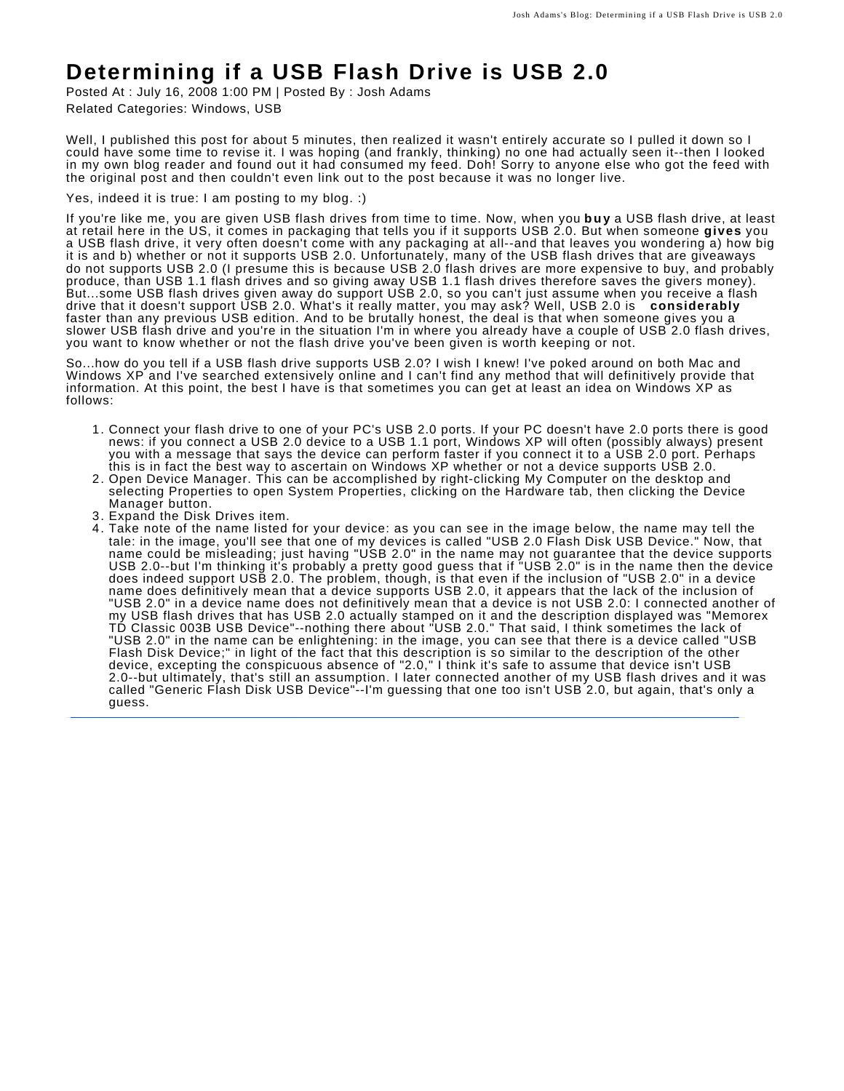## **Determining if a USB Flash Drive is USB 2.0**

Posted At : July 16, 2008 1:00 PM | Posted By : Josh Adams Related Categories: Windows, USB

Well, I published this post for about 5 minutes, then realized it wasn't entirely accurate so I pulled it down so I could have some time to revise it. I was hoping (and frankly, thinking) no one had actually seen it--then I looked in my own blog reader and found out it had consumed my feed. Doh! Sorry to anyone else who got the feed with the original post and then couldn't even link out to the post because it was no longer live.

Yes, indeed it is true: I am posting to my blog. :)

If you're like me, you are given USB flash drives from time to time. Now, when you **buy** a USB flash drive, at least at retail here in the US, it comes in packaging that tells you if it supports USB 2.0. But when someone **gives** you a USB flash drive, it very often doesn't come with any packaging at all--and that leaves you wondering a) how big it is and b) whether or not it supports USB 2.0. Unfortunately, many of the USB flash drives that are giveaways do not supports USB 2.0 (I presume this is because USB 2.0 flash drives are more expensive to buy, and probably produce, than USB 1.1 flash drives and so giving away USB 1.1 flash drives therefore saves the givers money). But...some USB flash drives given away do support USB 2.0, so you can't just assume when you receive a flash drive that it doesn't support USB 2.0. What's it really matter, you may ask? Well, USB 2.0 is **considerably** faster than any previous USB edition. And to be brutally honest, the deal is that when someone gives you a slower USB flash drive and you're in the situation I'm in where you already have a couple of USB 2.0 flash drives, you want to know whether or not the flash drive you've been given is worth keeping or not.

So...how do you tell if a USB flash drive supports USB 2.0? I wish I knew! I've poked around on both Mac and Windows XP and I've searched extensively online and I can't find any method that will definitively provide that information. At this point, the best I have is that sometimes you can get at least an idea on Windows XP as follows:

- Connect your flash drive to one of your PC's USB 2.0 ports. If your PC doesn't have 2.0 ports there is good news: if you connect a USB 2.0 device to a USB 1.1 port, Windows XP will often (possibly always) present you with a message that says the device can perform faster if you connect it to a USB 2.0 port. Perhaps this is in fact the best way to ascertain on Windows XP whether or not a device supports USB 2.0. 1.
- 2. Open Device Manager. This can be accomplished by right-clicking My Computer on the desktop and selecting Properties to open System Properties, clicking on the Hardware tab, then clicking the Device Manager button.
- 3. Expand the Disk Drives item.
- Take note of the name listed for your device: as you can see in the image below, the name may tell the tale: in the image, you'll see that one of my devices is called "USB 2.0 Flash Disk USB Device." Now, that name could be misleading; just having "USB 2.0" in the name may not guarantee that the device supports USB 2.0--but I'm thinking it's probably a pretty good guess that if "USB 2.0" is in the name then the device does indeed support USB 2.0. The problem, though, is that even if the inclusion of "USB 2.0" in a device name does definitively mean that a device supports USB 2.0, it appears that the lack of the inclusion of "USB 2.0" in a device name does not definitively mean that a device is not USB 2.0: I connected another of my USB flash drives that has USB 2.0 actually stamped on it and the description displayed was "Memorex TD Classic 003B USB Device"--nothing there about "USB 2.0." That said, I think sometimes the lack of "USB 2.0" in the name can be enlightening: in the image, you can see that there is a device called "USB Flash Disk Device;" in light of the fact that this description is so similar to the description of the other device, excepting the conspicuous absence of "2.0," I think it's safe to assume that device isn't USB 2.0--but ultimately, that's still an assumption. I later connected another of my USB flash drives and it was called "Generic Flash Disk USB Device"--I'm guessing that one too isn't USB 2.0, but again, that's only a guess. 4.